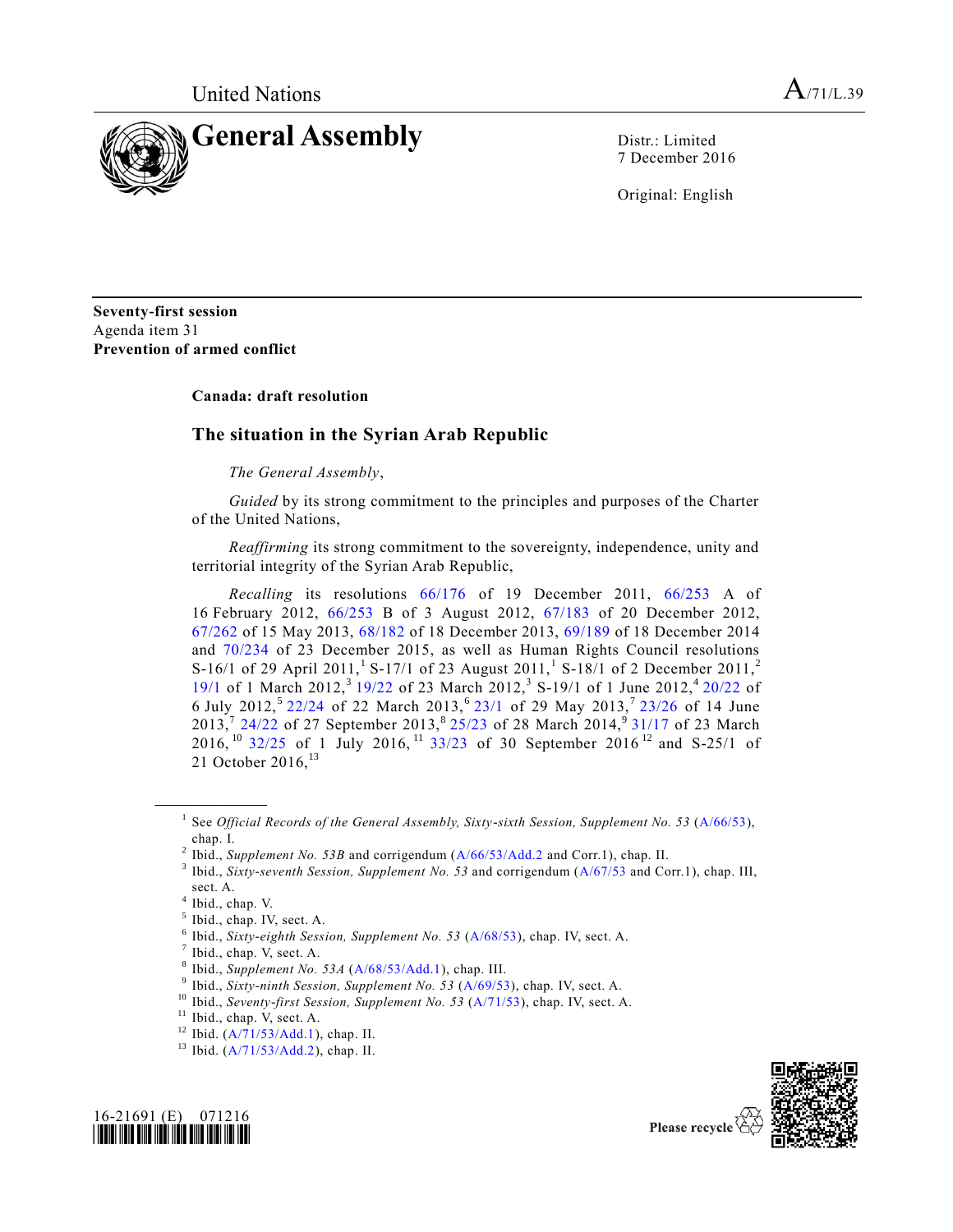

7 December 2016

Original: English

**Seventy-first session** Agenda item 31 **Prevention of armed conflict**

## **Canada: draft resolution**

## **The situation in the Syrian Arab Republic**

## *The General Assembly*,

*Guided* by its strong commitment to the principles and purposes of the Charter of the United Nations,

*Reaffirming* its strong commitment to the sovereignty, independence, unity and territorial integrity of the Syrian Arab Republic,

*Recalling* its resolutions [66/176](http://undocs.org/A/RES/66/176) of 19 December 2011, [66/253](http://undocs.org/A/RES/66/253) A of 16 February 2012, [66/253](http://undocs.org/A/RES/66/253) B of 3 August 2012, [67/183](http://undocs.org/A/RES/67/183) of 20 December 2012, [67/262](http://undocs.org/A/RES/67/262) of 15 May 2013, [68/182](http://undocs.org/A/RES/68/182) of 18 December 2013, [69/189](http://undocs.org/A/RES/69/189) of 18 December 2014 and [70/234](http://undocs.org/A/RES/70/234) of 23 December 2015, as well as Human Rights Council resolutions S-16/1 of 29 April 2011,<sup>1</sup> S-17/1 of 23 August 2011,<sup>1</sup> S-18/1 of 2 December 2011,<sup>2</sup> [19/1](http://undocs.org/A/RES/19/1) of 1 March 2012,<sup>3</sup> [19/22](http://undocs.org/A/RES/19/22) of 23 March 2012,<sup>3</sup> S-19/1 of 1 June 2012,<sup>4</sup> [20/22](http://undocs.org/A/RES/20/22) of 6 July 2012,<sup>5</sup> [22/24](http://undocs.org/A/RES/22/24) of 22 March 2013,<sup>6</sup> [23/1](http://undocs.org/A/RES/23/1) of 29 May 2013,<sup>7</sup> [23/26](http://undocs.org/A/RES/23/26) of 14 June 2013,<sup>7</sup> [24/22](http://undocs.org/A/RES/24/22) of 27 September 2013,<sup>8</sup> [25/23](http://undocs.org/A/RES/25/23) of 28 March 2014,<sup>9</sup> [31/17](http://undocs.org/A/RES/31/17) of 23 March 2016, <sup>10</sup> [32/25](http://undocs.org/A/RES/32/25) of 1 July 2016, <sup>11</sup> [33/23](http://undocs.org/A/RES/33/23) of 30 September 2016<sup>12</sup> and S-25/1 of 21 October 2016,  $^{13}$ 

**\_\_\_\_\_\_\_\_\_\_\_\_\_\_\_\_\_\_**





<sup>&</sup>lt;sup>1</sup> See *Official Records of the General Assembly, Sixty-sixth Session, Supplement No. 53 [\(A/66/53\)](http://undocs.org/A/66/53),* chap. I.

<sup>&</sup>lt;sup>2</sup> Ibid., *Supplement No. 53B* and corrigendum [\(A/66/53/Add.2](http://undocs.org/A/66/53/Add.2) and Corr.1), chap. II.

<sup>3</sup> Ibid., *Sixty-seventh Session, Supplement No. 53* and corrigendum [\(A/67/53](http://undocs.org/A/67/53) and Corr.1), chap. III, sect. A.

<sup>4</sup> Ibid., chap. V.

 $<sup>5</sup>$  Ibid., chap. IV, sect. A.</sup>

<sup>6</sup> Ibid., *Sixty-eighth Session, Supplement No. 53* [\(A/68/53\)](http://undocs.org/A/68/53), chap. IV, sect. A.

 $<sup>7</sup>$  Ibid., chap. V, sect. A.</sup>

<sup>8</sup> Ibid., *Supplement No. 53A* [\(A/68/53/Add.1\)](http://undocs.org/A/68/53/Add.1), chap. III.

<sup>9</sup> Ibid., *Sixty-ninth Session, Supplement No. 53* [\(A/69/53\)](http://undocs.org/A/69/53), chap. IV, sect. A.

<sup>&</sup>lt;sup>10</sup> Ibid., *Seventy-first Session, Supplement No.* 53 [\(A/71/53\)](http://undocs.org/A/71/53), chap. IV, sect. A.

<sup>&</sup>lt;sup>11</sup> Ibid., chap. V, sect. A.

<sup>12</sup> Ibid. [\(A/71/53/Add.1\)](http://undocs.org/A/71/53/Add.1), chap. II.

<sup>13</sup> Ibid. [\(A/71/53/Add.2\)](http://undocs.org/A/71/53/Add.2), chap. II.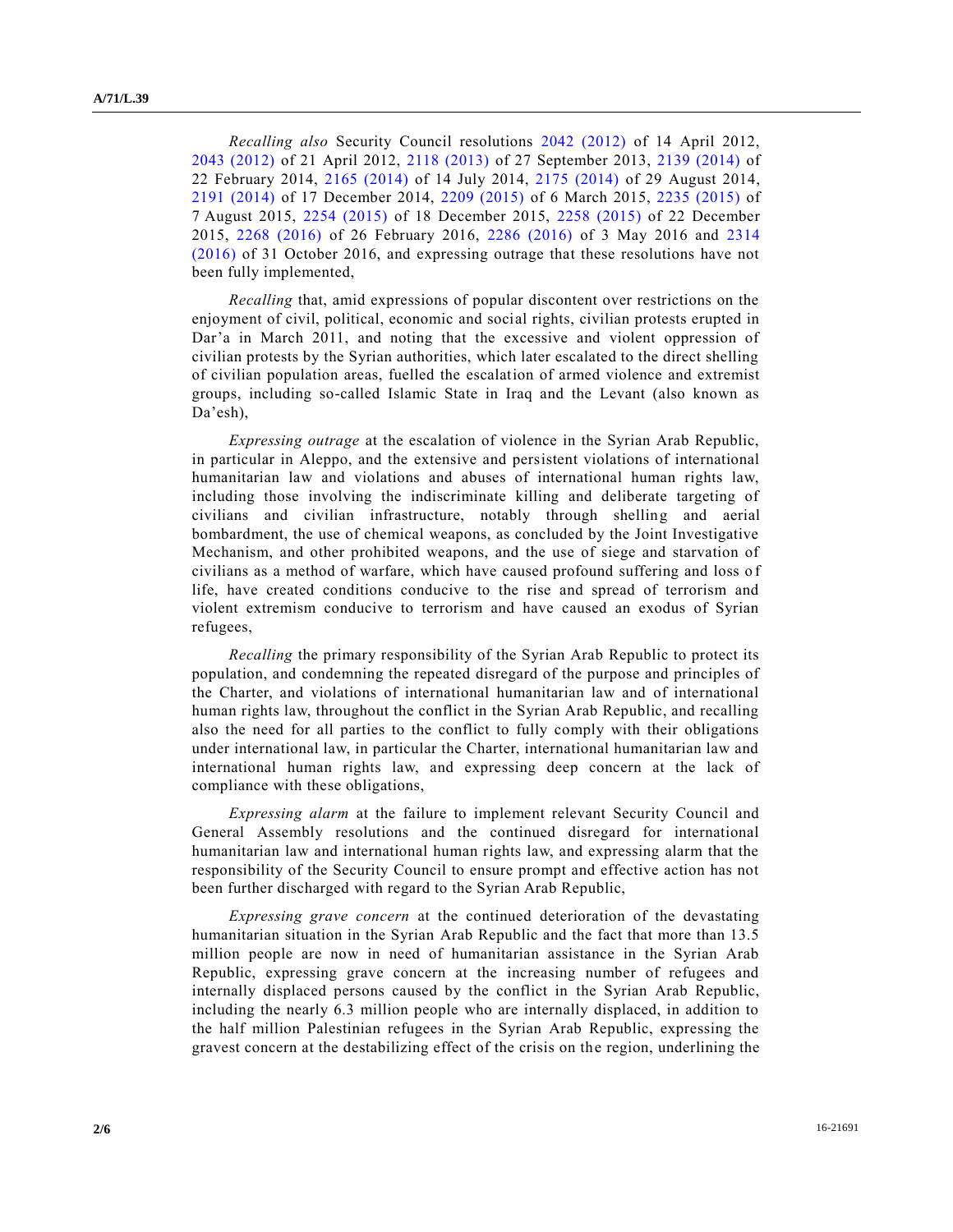*Recalling also* Security Council resolutions [2042 \(2012\)](http://undocs.org/S/RES/2042(2012)) of 14 April 2012, [2043 \(2012\)](http://undocs.org/S/RES/2043(2012)) of 21 April 2012, [2118 \(2013\)](http://undocs.org/S/RES/2118(2013)) of 27 September 2013, [2139 \(2014\)](http://undocs.org/S/RES/2139(2014)) of 22 February 2014, [2165 \(2014\)](http://undocs.org/S/RES/2165(2014)) of 14 July 2014, [2175 \(2014\)](http://undocs.org/S/RES/2175(2014)) of 29 August 2014, [2191 \(2014\)](http://undocs.org/S/RES/2191(2014)) of 17 December 2014, [2209 \(2015\)](http://undocs.org/S/RES/2209(2015)) of 6 March 2015, [2235 \(2015\)](http://undocs.org/S/RES/2235(2015)) of 7 August 2015, [2254 \(2015\)](http://undocs.org/S/RES/2254(2015)) of 18 December 2015, [2258 \(2015\)](http://undocs.org/S/RES/2258(2015)) of 22 December 2015, [2268 \(2016\)](http://undocs.org/S/RES/2268(2016)) of 26 February 2016, [2286 \(2016\)](http://undocs.org/S/RES/2286(2016)) of 3 May 2016 and [2314](http://undocs.org/S/RES/2314(2016))  [\(2016\)](http://undocs.org/S/RES/2314(2016)) of 31 October 2016, and expressing outrage that these resolutions have not been fully implemented,

*Recalling* that, amid expressions of popular discontent over restrictions on the enjoyment of civil, political, economic and social rights, civilian protests erupted in Dar'a in March 2011, and noting that the excessive and violent oppression of civilian protests by the Syrian authorities, which later escalated to the direct shelling of civilian population areas, fuelled the escalation of armed violence and extremist groups, including so-called Islamic State in Iraq and the Levant (also known as Da'esh),

*Expressing outrage* at the escalation of violence in the Syrian Arab Republic, in particular in Aleppo, and the extensive and persistent violations of international humanitarian law and violations and abuses of international human rights law, including those involving the indiscriminate killing and deliberate targeting of civilians and civilian infrastructure, notably through shelling and aerial bombardment, the use of chemical weapons, as concluded by the Joint Investigative Mechanism, and other prohibited weapons, and the use of siege and starvation of civilians as a method of warfare, which have caused profound suffering and loss of life, have created conditions conducive to the rise and spread of terrorism and violent extremism conducive to terrorism and have caused an exodus of Syrian refugees,

*Recalling* the primary responsibility of the Syrian Arab Republic to protect its population, and condemning the repeated disregard of the purpose and principles of the Charter, and violations of international humanitarian law and of international human rights law, throughout the conflict in the Syrian Arab Republic, and recalling also the need for all parties to the conflict to fully comply with their obligations under international law, in particular the Charter, international humanitarian law and international human rights law, and expressing deep concern at the lack of compliance with these obligations,

*Expressing alarm* at the failure to implement relevant Security Council and General Assembly resolutions and the continued disregard for international humanitarian law and international human rights law, and expressing alarm that the responsibility of the Security Council to ensure prompt and effective action has not been further discharged with regard to the Syrian Arab Republic,

*Expressing grave concern* at the continued deterioration of the devastating humanitarian situation in the Syrian Arab Republic and the fact that more than 13.5 million people are now in need of humanitarian assistance in the Syrian Arab Republic, expressing grave concern at the increasing number of refugees and internally displaced persons caused by the conflict in the Syrian Arab Republic, including the nearly 6.3 million people who are internally displaced, in addition to the half million Palestinian refugees in the Syrian Arab Republic, expressing the gravest concern at the destabilizing effect of the crisis on the region, underlining the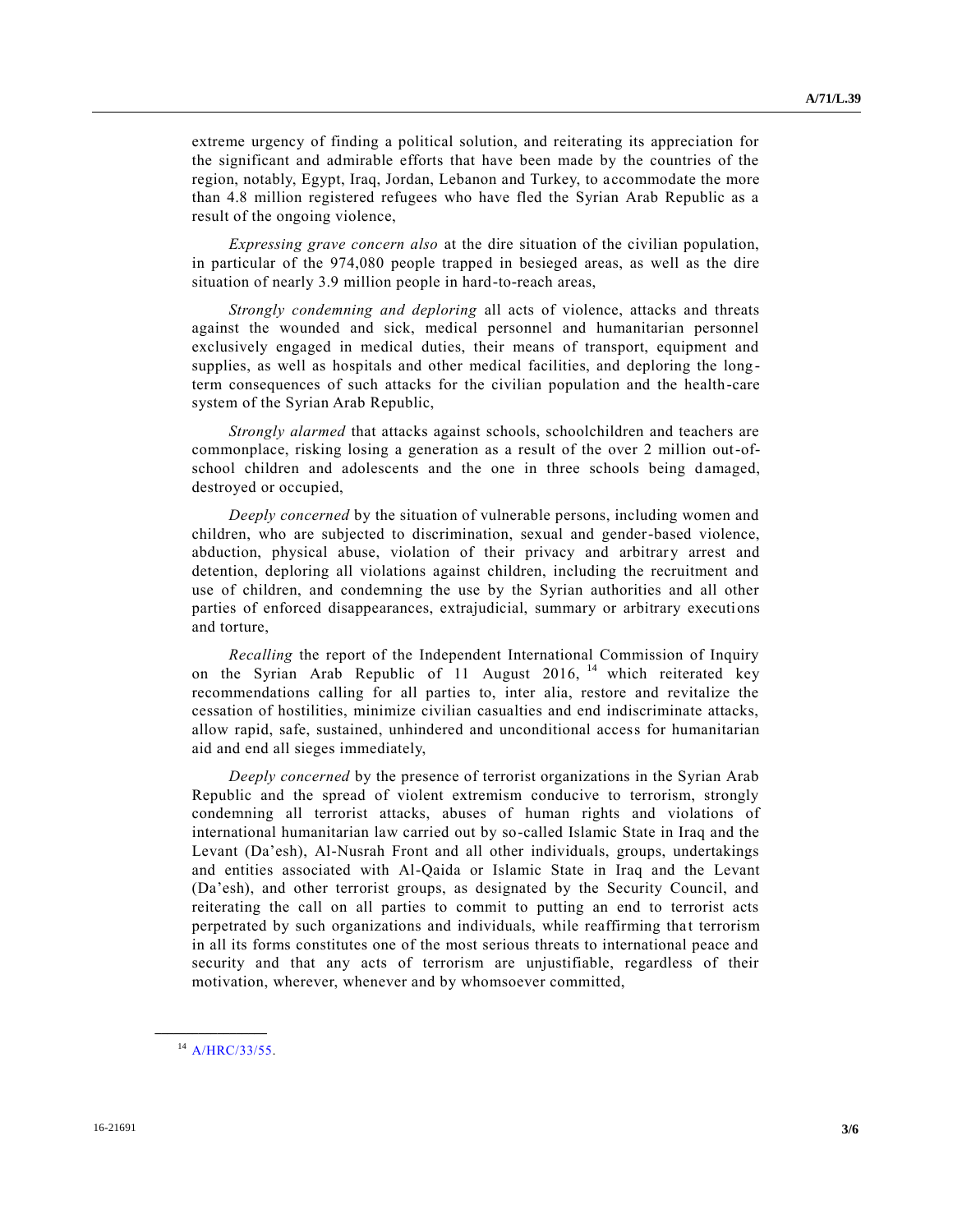extreme urgency of finding a political solution, and reiterating its appreciation for the significant and admirable efforts that have been made by the countries of the region, notably, Egypt, Iraq, Jordan, Lebanon and Turkey, to accommodate the more than 4.8 million registered refugees who have fled the Syrian Arab Republic as a result of the ongoing violence,

*Expressing grave concern also* at the dire situation of the civilian population, in particular of the 974,080 people trapped in besieged areas, as well as the dire situation of nearly 3.9 million people in hard-to-reach areas,

*Strongly condemning and deploring* all acts of violence, attacks and threats against the wounded and sick, medical personnel and humanitarian personnel exclusively engaged in medical duties, their means of transport, equipment and supplies, as well as hospitals and other medical facilities, and deploring the long term consequences of such attacks for the civilian population and the health-care system of the Syrian Arab Republic,

*Strongly alarmed* that attacks against schools, schoolchildren and teachers are commonplace, risking losing a generation as a result of the over 2 million out-ofschool children and adolescents and the one in three schools being damaged, destroyed or occupied,

*Deeply concerned* by the situation of vulnerable persons, including women and children, who are subjected to discrimination, sexual and gender-based violence, abduction, physical abuse, violation of their privacy and arbitrary arrest and detention, deploring all violations against children, including the recruitment and use of children, and condemning the use by the Syrian authorities and all other parties of enforced disappearances, extrajudicial, summary or arbitrary executions and torture,

*Recalling* the report of the Independent International Commission of Inquiry on the Syrian Arab Republic of 11 August 2016, <sup>14</sup> which reiterated key recommendations calling for all parties to, inter alia, restore and revitalize the cessation of hostilities, minimize civilian casualties and end indiscriminate attacks, allow rapid, safe, sustained, unhindered and unconditional access for humanitarian aid and end all sieges immediately,

*Deeply concerned* by the presence of terrorist organizations in the Syrian Arab Republic and the spread of violent extremism conducive to terrorism, strongly condemning all terrorist attacks, abuses of human rights and violations of international humanitarian law carried out by so-called Islamic State in Iraq and the Levant (Da'esh), Al-Nusrah Front and all other individuals, groups, undertakings and entities associated with Al-Qaida or Islamic State in Iraq and the Levant (Da'esh), and other terrorist groups, as designated by the Security Council, and reiterating the call on all parties to commit to putting an end to terrorist acts perpetrated by such organizations and individuals, while reaffirming that terrorism in all its forms constitutes one of the most serious threats to international peace and security and that any acts of terrorism are unjustifiable, regardless of their motivation, wherever, whenever and by whomsoever committed,

**\_\_\_\_\_\_\_\_\_\_\_\_\_\_\_\_\_\_**

<sup>14</sup> [A/HRC/33/55.](http://undocs.org/A/HRC/33/55)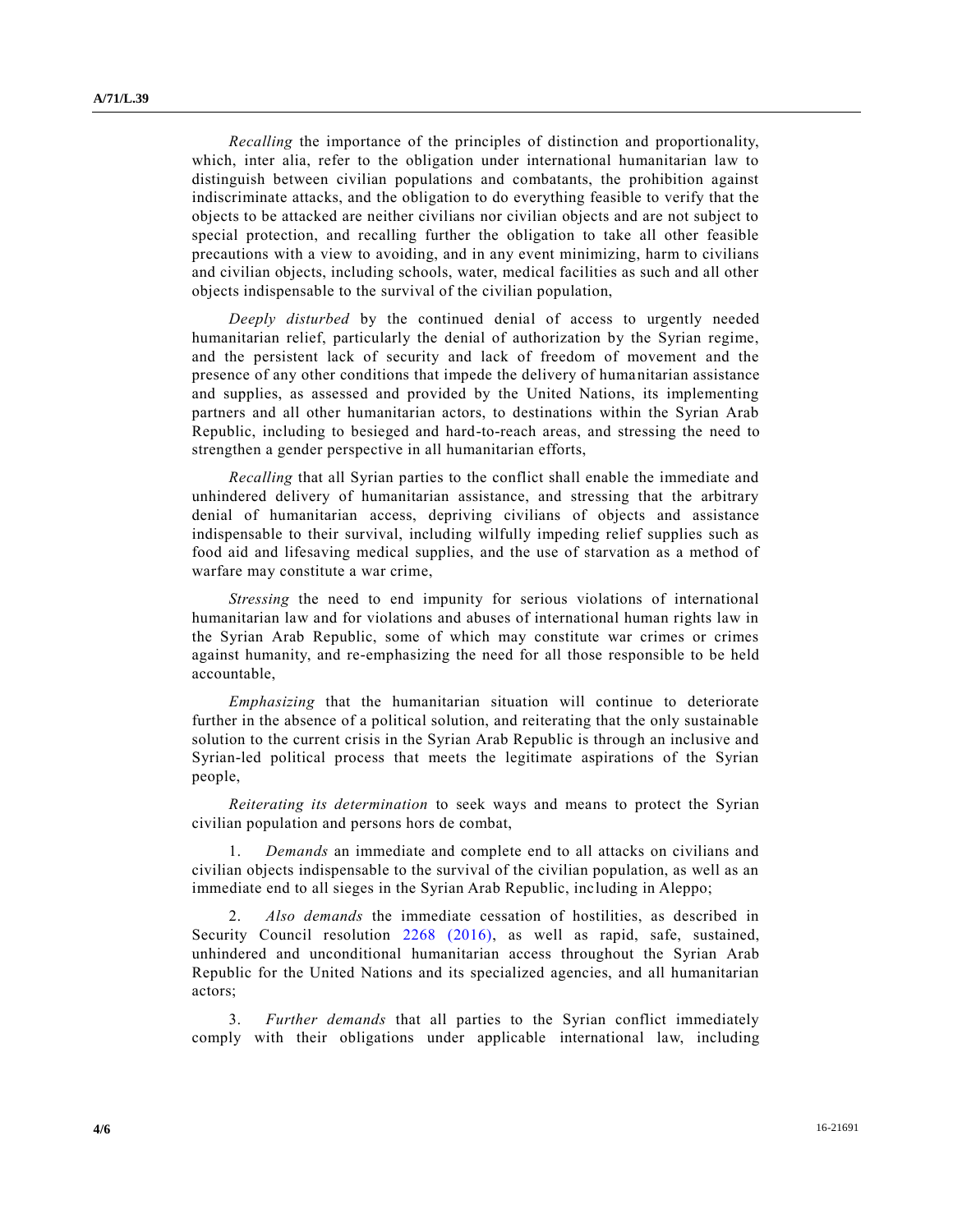*Recalling* the importance of the principles of distinction and proportionality, which, inter alia, refer to the obligation under international humanitarian law to distinguish between civilian populations and combatants, the prohibition against indiscriminate attacks, and the obligation to do everything feasible to verify that the objects to be attacked are neither civilians nor civilian objects and are not subject to special protection, and recalling further the obligation to take all other feasible precautions with a view to avoiding, and in any event minimizing, harm to civilians and civilian objects, including schools, water, medical facilities as such and all other objects indispensable to the survival of the civilian population,

*Deeply disturbed* by the continued denial of access to urgently needed humanitarian relief, particularly the denial of authorization by the Syrian regime, and the persistent lack of security and lack of freedom of movement and the presence of any other conditions that impede the delivery of humanitarian assistance and supplies, as assessed and provided by the United Nations, its implementing partners and all other humanitarian actors, to destinations within the Syrian Arab Republic, including to besieged and hard-to-reach areas, and stressing the need to strengthen a gender perspective in all humanitarian efforts,

*Recalling* that all Syrian parties to the conflict shall enable the immediate and unhindered delivery of humanitarian assistance, and stressing that the arbitrary denial of humanitarian access, depriving civilians of objects and assistance indispensable to their survival, including wilfully impeding relief supplies such as food aid and lifesaving medical supplies, and the use of starvation as a method of warfare may constitute a war crime,

*Stressing* the need to end impunity for serious violations of international humanitarian law and for violations and abuses of international human rights law in the Syrian Arab Republic, some of which may constitute war crimes or crimes against humanity, and re-emphasizing the need for all those responsible to be held accountable,

*Emphasizing* that the humanitarian situation will continue to deteriorate further in the absence of a political solution, and reiterating that the only sustainable solution to the current crisis in the Syrian Arab Republic is through an inclusive and Syrian-led political process that meets the legitimate aspirations of the Syrian people,

*Reiterating its determination* to seek ways and means to protect the Syrian civilian population and persons hors de combat,

1. *Demands* an immediate and complete end to all attacks on civilians and civilian objects indispensable to the survival of the civilian population, as well as an immediate end to all sieges in the Syrian Arab Republic, including in Aleppo;

2. *Also demands* the immediate cessation of hostilities, as described in Security Council resolution [2268 \(2016\),](http://undocs.org/S/RES/2268(2016)) as well as rapid, safe, sustained, unhindered and unconditional humanitarian access throughout the Syrian Arab Republic for the United Nations and its specialized agencies, and all humanitarian actors;

3. *Further demands* that all parties to the Syrian conflict immediately comply with their obligations under applicable international law, including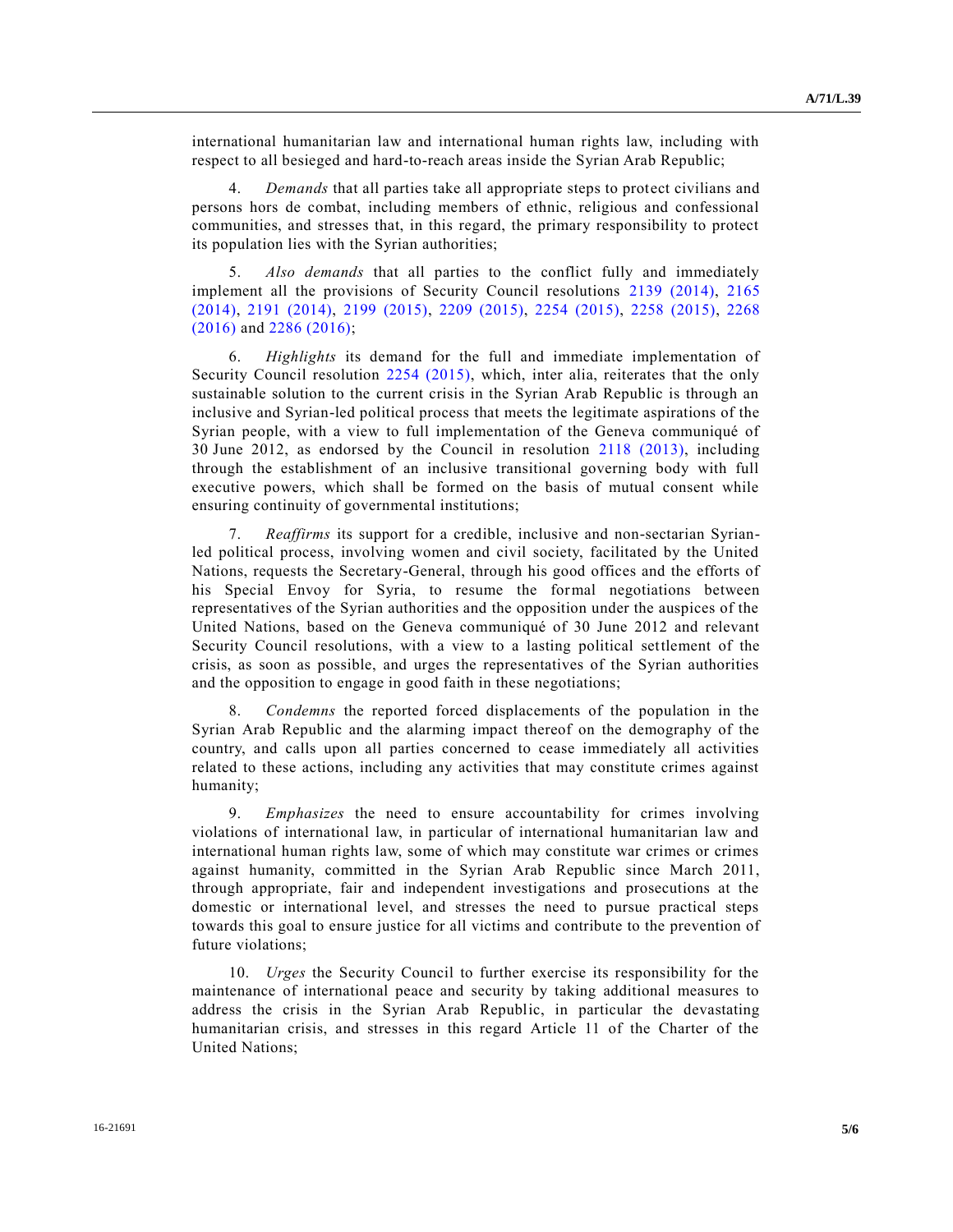international humanitarian law and international human rights law, including with respect to all besieged and hard-to-reach areas inside the Syrian Arab Republic;

4. *Demands* that all parties take all appropriate steps to protect civilians and persons hors de combat, including members of ethnic, religious and confessional communities, and stresses that, in this regard, the primary responsibility to protect its population lies with the Syrian authorities;

5. *Also demands* that all parties to the conflict fully and immediately implement all the provisions of Security Council resolutions [2139 \(2014\),](http://undocs.org/S/RES/2139(2014)) [2165](http://undocs.org/S/RES/2165(2014))  [\(2014\),](http://undocs.org/S/RES/2165(2014)) [2191 \(2014\),](http://undocs.org/S/RES/2191(2014)) [2199 \(2015\),](http://undocs.org/S/RES/2199(2015)) [2209 \(2015\),](http://undocs.org/S/RES/2209(2015)) [2254 \(2015\),](http://undocs.org/S/RES/2254(2015)) [2258 \(2015\),](http://undocs.org/S/RES/2258(2015)) [2268](http://undocs.org/S/RES/2268(2016))  [\(2016\)](http://undocs.org/S/RES/2268(2016)) and [2286 \(2016\);](http://undocs.org/S/RES/2286(2016))

6. *Highlights* its demand for the full and immediate implementation of Security Council resolution [2254 \(2015\),](http://undocs.org/S/RES/2254(2015)) which, inter alia, reiterates that the only sustainable solution to the current crisis in the Syrian Arab Republic is through an inclusive and Syrian-led political process that meets the legitimate aspirations of the Syrian people, with a view to full implementation of the Geneva communiqué of 30 June 2012, as endorsed by the Council in resolution [2118 \(2013\),](http://undocs.org/S/RES/2118(2013)) including through the establishment of an inclusive transitional governing body with full executive powers, which shall be formed on the basis of mutual consent while ensuring continuity of governmental institutions;

7. *Reaffirms* its support for a credible, inclusive and non-sectarian Syrianled political process, involving women and civil society, facilitated by the United Nations, requests the Secretary-General, through his good offices and the efforts of his Special Envoy for Syria, to resume the formal negotiations between representatives of the Syrian authorities and the opposition under the auspices of the United Nations, based on the Geneva communiqué of 30 June 2012 and relevant Security Council resolutions, with a view to a lasting political settlement of the crisis, as soon as possible, and urges the representatives of the Syrian authorities and the opposition to engage in good faith in these negotiations;

8. *Condemns* the reported forced displacements of the population in the Syrian Arab Republic and the alarming impact thereof on the demography of the country, and calls upon all parties concerned to cease immediately all activities related to these actions, including any activities that may constitute crimes against humanity;

9. *Emphasizes* the need to ensure accountability for crimes involving violations of international law, in particular of international humanitarian law and international human rights law, some of which may constitute war crimes or crimes against humanity, committed in the Syrian Arab Republic since March 2011, through appropriate, fair and independent investigations and prosecutions at the domestic or international level, and stresses the need to pursue practical steps towards this goal to ensure justice for all victims and contribute to the prevention of future violations;

10. *Urges* the Security Council to further exercise its responsibility for the maintenance of international peace and security by taking additional measures to address the crisis in the Syrian Arab Republic, in particular the devastating humanitarian crisis, and stresses in this regard Article 11 of the Charter of the United Nations;